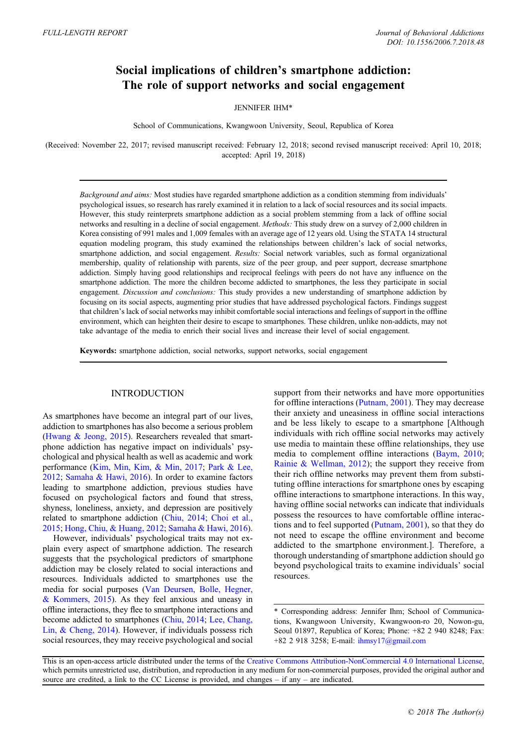# Social implications of children's smartphone addiction: The role of support networks and social engagement

#### JENNIFER IHM\*

School of Communications, Kwangwoon University, Seoul, Republica of Korea

(Received: November 22, 2017; revised manuscript received: February 12, 2018; second revised manuscript received: April 10, 2018; accepted: April 19, 2018)

Background and aims: Most studies have regarded smartphone addiction as a condition stemming from individuals' psychological issues, so research has rarely examined it in relation to a lack of social resources and its social impacts. However, this study reinterprets smartphone addiction as a social problem stemming from a lack of offline social networks and resulting in a decline of social engagement. Methods: This study drew on a survey of 2,000 children in Korea consisting of 991 males and 1,009 females with an average age of 12 years old. Using the STATA 14 structural equation modeling program, this study examined the relationships between children's lack of social networks, smartphone addiction, and social engagement. Results: Social network variables, such as formal organizational membership, quality of relationship with parents, size of the peer group, and peer support, decrease smartphone addiction. Simply having good relationships and reciprocal feelings with peers do not have any influence on the smartphone addiction. The more the children become addicted to smartphones, the less they participate in social engagement. Discussion and conclusions: This study provides a new understanding of smartphone addiction by focusing on its social aspects, augmenting prior studies that have addressed psychological factors. Findings suggest that children's lack of social networks may inhibit comfortable social interactions and feelings of support in the offline environment, which can heighten their desire to escape to smartphones. These children, unlike non-addicts, may not take advantage of the media to enrich their social lives and increase their level of social engagement.

Keywords: smartphone addiction, social networks, support networks, social engagement

## INTRODUCTION

As smartphones have become an integral part of our lives, addiction to smartphones has also become a serious problem [\(Hwang & Jeong, 2015](#page-7-0)). Researchers revealed that smartphone addiction has negative impact on individuals' psychological and physical health as well as academic and work performance ([Kim, Min, Kim, & Min, 2017;](#page-7-0) [Park & Lee,](#page-7-0) [2012](#page-7-0); [Samaha & Hawi, 2016\)](#page-7-0). In order to examine factors leading to smartphone addiction, previous studies have focused on psychological factors and found that stress, shyness, loneliness, anxiety, and depression are positively related to smartphone addiction ([Chiu, 2014;](#page-6-0) [Choi et al.,](#page-6-0) [2015](#page-6-0); [Hong, Chiu, & Huang, 2012](#page-7-0); [Samaha & Hawi, 2016\)](#page-7-0).

However, individuals' psychological traits may not explain every aspect of smartphone addiction. The research suggests that the psychological predictors of smartphone addiction may be closely related to social interactions and resources. Individuals addicted to smartphones use the media for social purposes ([Van Deursen, Bolle, Hegner,](#page-8-0) [& Kommers, 2015](#page-8-0)). As they feel anxious and uneasy in offline interactions, they flee to smartphone interactions and become addicted to smartphones ([Chiu, 2014;](#page-6-0) [Lee, Chang,](#page-7-0) [Lin, & Cheng, 2014](#page-7-0)). However, if individuals possess rich social resources, they may receive psychological and social support from their networks and have more opportunities for offline interactions [\(Putnam, 2001](#page-7-0)). They may decrease their anxiety and uneasiness in offline social interactions and be less likely to escape to a smartphone [Although individuals with rich offline social networks may actively use media to maintain these offline relationships, they use media to complement offline interactions ([Baym, 2010](#page-6-0); [Rainie & Wellman, 2012](#page-7-0)); the support they receive from their rich offline networks may prevent them from substituting offline interactions for smartphone ones by escaping offline interactions to smartphone interactions. In this way, having offline social networks can indicate that individuals possess the resources to have comfortable offline interactions and to feel supported ([Putnam, 2001](#page-7-0)), so that they do not need to escape the offline environment and become addicted to the smartphone environment.]. Therefore, a thorough understanding of smartphone addiction should go beyond psychological traits to examine individuals' social resources.

<sup>\*</sup> Corresponding address: Jennifer Ihm; School of Communications, Kwangwoon University, Kwangwoon-ro 20, Nowon-gu, Seoul 01897, Republica of Korea; Phone: +82 2 940 8248; Fax: +82 2 918 3258; E-mail: [ihmsy17@gmail.com](mailto:ihmsy17@gmail.com)

This is an open-access article distributed under the terms of the [Creative Commons Attribution-NonCommercial 4.0 International License,](http://creativecommons.org/licenses/by-nc/4.0/) which permits unrestricted use, distribution, and reproduction in any medium for non-commercial purposes, provided the original author and source are credited, a link to the CC License is provided, and changes  $-$  if any  $-$  are indicated.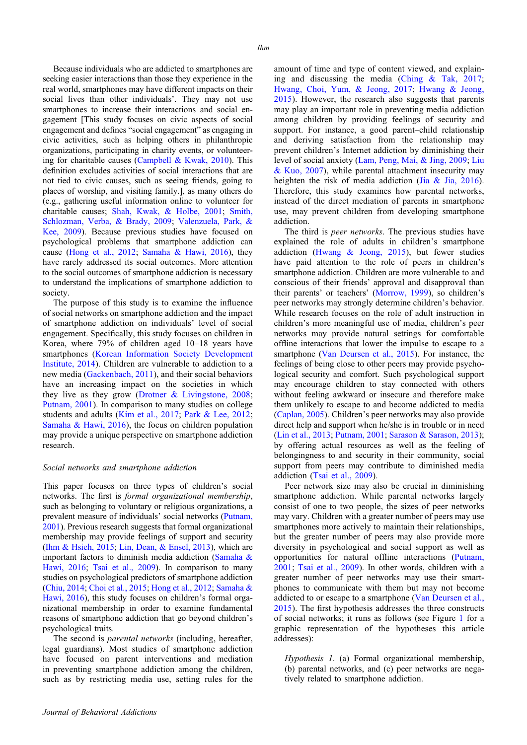Because individuals who are addicted to smartphones are seeking easier interactions than those they experience in the real world, smartphones may have different impacts on their social lives than other individuals'. They may not use smartphones to increase their interactions and social engagement [This study focuses on civic aspects of social engagement and defines "social engagement" as engaging in civic activities, such as helping others in philanthropic organizations, participating in charity events, or volunteering for charitable causes ([Campbell & Kwak, 2010\)](#page-6-0). This definition excludes activities of social interactions that are not tied to civic causes, such as seeing friends, going to places of worship, and visiting family.], as many others do (e.g., gathering useful information online to volunteer for charitable causes; [Shah, Kwak, & Holbe, 2001](#page-7-0); [Smith,](#page-7-0) [Schlozman, Verba, & Brady, 2009](#page-7-0); [Valenzuela, Park, &](#page-8-0) [Kee, 2009](#page-8-0)). Because previous studies have focused on psychological problems that smartphone addiction can cause [\(Hong et al., 2012;](#page-7-0) [Samaha & Hawi, 2016](#page-7-0)), they have rarely addressed its social outcomes. More attention to the social outcomes of smartphone addiction is necessary to understand the implications of smartphone addiction to society.

The purpose of this study is to examine the influence of social networks on smartphone addiction and the impact of smartphone addiction on individuals' level of social engagement. Specifically, this study focuses on children in Korea, where 79% of children aged 10–18 years have smartphones ([Korean Information Society Development](#page-7-0) [Institute, 2014\)](#page-7-0). Children are vulnerable to addiction to a new media ([Gackenbach, 2011\)](#page-7-0), and their social behaviors have an increasing impact on the societies in which they live as they grow (Drotner  $\&$  Livingstone, 2008; [Putnam, 2001](#page-7-0)). In comparison to many studies on college students and adults ([Kim et al., 2017](#page-7-0); [Park & Lee, 2012;](#page-7-0) [Samaha & Hawi, 2016](#page-7-0)), the focus on children population may provide a unique perspective on smartphone addiction research.

#### Social networks and smartphone addiction

This paper focuses on three types of children's social networks. The first is formal organizational membership, such as belonging to voluntary or religious organizations, a prevalent measure of individuals' social networks ([Putnam,](#page-7-0) [2001](#page-7-0)). Previous research suggests that formal organizational membership may provide feelings of support and security [\(Ihm & Hsieh, 2015](#page-7-0); [Lin, Dean, & Ensel, 2013\)](#page-7-0), which are important factors to diminish media addiction ([Samaha &](#page-7-0) [Hawi, 2016](#page-7-0); [Tsai et al., 2009\)](#page-8-0). In comparison to many studies on psychological predictors of smartphone addiction [\(Chiu, 2014;](#page-6-0) [Choi et al., 2015](#page-6-0); [Hong et al., 2012](#page-7-0); [Samaha &](#page-7-0) [Hawi, 2016](#page-7-0)), this study focuses on children's formal organizational membership in order to examine fundamental reasons of smartphone addiction that go beyond children's psychological traits.

The second is *parental networks* (including, hereafter, legal guardians). Most studies of smartphone addiction have focused on parent interventions and mediation in preventing smartphone addiction among the children, such as by restricting media use, setting rules for the

amount of time and type of content viewed, and explaining and discussing the media (Ching  $\&$  Tak, 2017; [Hwang, Choi, Yum, & Jeong, 2017](#page-7-0); [Hwang & Jeong,](#page-7-0) [2015](#page-7-0)). However, the research also suggests that parents may play an important role in preventing media addiction among children by providing feelings of security and support. For instance, a good parent–child relationship and deriving satisfaction from the relationship may prevent children's Internet addiction by diminishing their level of social anxiety ([Lam, Peng, Mai, & Jing, 2009;](#page-7-0) [Liu](#page-7-0) [& Kuo, 2007](#page-7-0)), while parental attachment insecurity may heighten the risk of media addiction [\(Jia & Jia, 2016](#page-7-0)). Therefore, this study examines how parental networks, instead of the direct mediation of parents in smartphone use, may prevent children from developing smartphone addiction.

The third is peer networks. The previous studies have explained the role of adults in children's smartphone addiction ([Hwang & Jeong, 2015\)](#page-7-0), but fewer studies have paid attention to the role of peers in children's smartphone addiction. Children are more vulnerable to and conscious of their friends' approval and disapproval than their parents' or teachers' [\(Morrow, 1999](#page-7-0)), so children's peer networks may strongly determine children's behavior. While research focuses on the role of adult instruction in children's more meaningful use of media, children's peer networks may provide natural settings for comfortable offline interactions that lower the impulse to escape to a smartphone ([Van Deursen et al., 2015](#page-8-0)). For instance, the feelings of being close to other peers may provide psychological security and comfort. Such psychological support may encourage children to stay connected with others without feeling awkward or insecure and therefore make them unlikely to escape to and become addicted to media ([Caplan, 2005\)](#page-6-0). Children's peer networks may also provide direct help and support when he/she is in trouble or in need ([Lin et al., 2013;](#page-7-0) [Putnam, 2001;](#page-7-0) [Sarason & Sarason, 2013](#page-7-0)); by offering actual resources as well as the feeling of belongingness to and security in their community, social support from peers may contribute to diminished media addiction ([Tsai et al., 2009](#page-8-0)).

Peer network size may also be crucial in diminishing smartphone addiction. While parental networks largely consist of one to two people, the sizes of peer networks may vary. Children with a greater number of peers may use smartphones more actively to maintain their relationships, but the greater number of peers may also provide more diversity in psychological and social support as well as opportunities for natural offline interactions ([Putnam,](#page-7-0) [2001](#page-7-0); [Tsai et al., 2009\)](#page-8-0). In other words, children with a greater number of peer networks may use their smartphones to communicate with them but may not become addicted to or escape to a smartphone ([Van Deursen et al.,](#page-8-0) [2015](#page-8-0)). The first hypothesis addresses the three constructs of social networks; it runs as follows (see Figure [1](#page-2-0) for a graphic representation of the hypotheses this article addresses):

Hypothesis 1. (a) Formal organizational membership, (b) parental networks, and (c) peer networks are negatively related to smartphone addiction.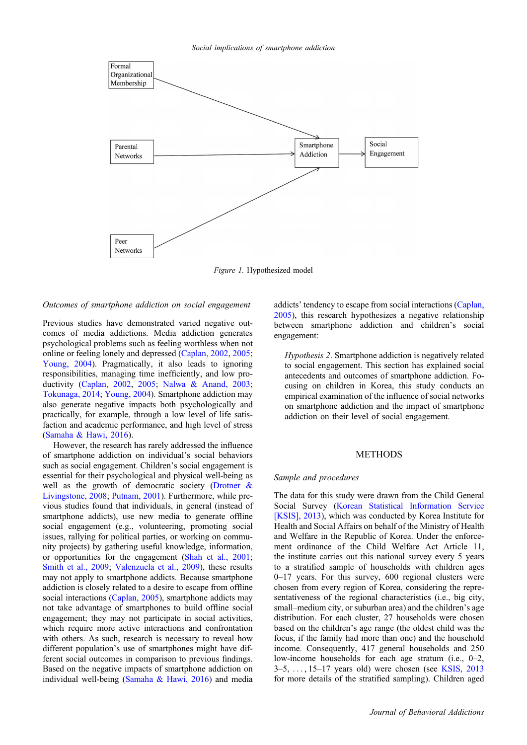<span id="page-2-0"></span>

Figure 1. Hypothesized model

#### Outcomes of smartphone addiction on social engagement

Previous studies have demonstrated varied negative outcomes of media addictions. Media addiction generates psychological problems such as feeling worthless when not online or feeling lonely and depressed ([Caplan, 2002,](#page-6-0) [2005;](#page-6-0) [Young, 2004\)](#page-8-0). Pragmatically, it also leads to ignoring responsibilities, managing time inefficiently, and low productivity [\(Caplan, 2002](#page-6-0), [2005;](#page-6-0) [Nalwa & Anand, 2003;](#page-7-0) [Tokunaga, 2014](#page-8-0); [Young, 2004](#page-8-0)). Smartphone addiction may also generate negative impacts both psychologically and practically, for example, through a low level of life satisfaction and academic performance, and high level of stress [\(Samaha & Hawi, 2016](#page-7-0)).

However, the research has rarely addressed the influence of smartphone addiction on individual's social behaviors such as social engagement. Children's social engagement is essential for their psychological and physical well-being as well as the growth of democratic society ([Drotner &](#page-7-0) [Livingstone, 2008;](#page-7-0) [Putnam, 2001\)](#page-7-0). Furthermore, while previous studies found that individuals, in general (instead of smartphone addicts), use new media to generate offline social engagement (e.g., volunteering, promoting social issues, rallying for political parties, or working on community projects) by gathering useful knowledge, information, or opportunities for the engagement ([Shah et al., 2001;](#page-7-0) [Smith et al., 2009](#page-7-0); [Valenzuela et al., 2009\)](#page-8-0), these results may not apply to smartphone addicts. Because smartphone addiction is closely related to a desire to escape from offline social interactions [\(Caplan, 2005\)](#page-6-0), smartphone addicts may not take advantage of smartphones to build offline social engagement; they may not participate in social activities, which require more active interactions and confrontation with others. As such, research is necessary to reveal how different population's use of smartphones might have different social outcomes in comparison to previous findings. Based on the negative impacts of smartphone addiction on individual well-being ([Samaha & Hawi, 2016](#page-7-0)) and media addicts' tendency to escape from social interactions [\(Caplan,](#page-6-0) [2005\)](#page-6-0), this research hypothesizes a negative relationship between smartphone addiction and children's social engagement:

Hypothesis 2. Smartphone addiction is negatively related to social engagement. This section has explained social antecedents and outcomes of smartphone addiction. Focusing on children in Korea, this study conducts an empirical examination of the influence of social networks on smartphone addiction and the impact of smartphone addiction on their level of social engagement.

## **METHODS**

#### Sample and procedures

The data for this study were drawn from the Child General Social Survey [\(Korean Statistical Information Service](#page-7-0) [\[KSIS\], 2013\)](#page-7-0), which was conducted by Korea Institute for Health and Social Affairs on behalf of the Ministry of Health and Welfare in the Republic of Korea. Under the enforcement ordinance of the Child Welfare Act Article 11, the institute carries out this national survey every 5 years to a stratified sample of households with children ages 0–17 years. For this survey, 600 regional clusters were chosen from every region of Korea, considering the representativeness of the regional characteristics (i.e., big city, small–medium city, or suburban area) and the children's age distribution. For each cluster, 27 households were chosen based on the children's age range (the oldest child was the focus, if the family had more than one) and the household income. Consequently, 417 general households and 250 low-income households for each age stratum (i.e., 0–2,  $3-5, \ldots, 15-17$  years old) were chosen (see [KSIS, 2013](#page-7-0)) for more details of the stratified sampling). Children aged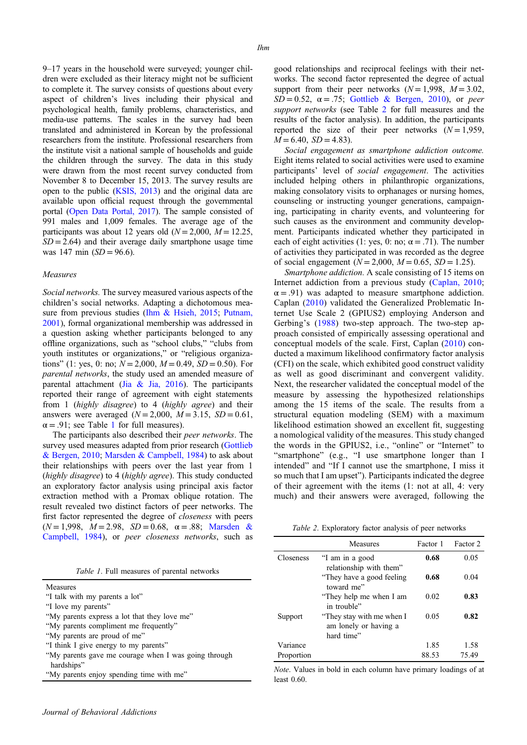9–17 years in the household were surveyed; younger children were excluded as their literacy might not be sufficient to complete it. The survey consists of questions about every aspect of children's lives including their physical and psychological health, family problems, characteristics, and media-use patterns. The scales in the survey had been translated and administered in Korean by the professional researchers from the institute. Professional researchers from the institute visit a national sample of households and guide the children through the survey. The data in this study were drawn from the most recent survey conducted from November 8 to December 15, 2013. The survey results are open to the public ([KSIS, 2013\)](#page-7-0) and the original data are available upon official request through the governmental portal [\(Open Data Portal, 2017\)](#page-7-0). The sample consisted of 991 males and 1,009 females. The average age of the participants was about 12 years old ( $N = 2,000$ ,  $M = 12.25$ ,  $SD = 2.64$ ) and their average daily smartphone usage time was 147 min  $(SD = 96.6)$ .

#### Measures

Social networks. The survey measured various aspects of the children's social networks. Adapting a dichotomous measure from previous studies ([Ihm & Hsieh, 2015](#page-7-0); [Putnam,](#page-7-0) [2001](#page-7-0)), formal organizational membership was addressed in a question asking whether participants belonged to any offline organizations, such as "school clubs," "clubs from youth institutes or organizations," or "religious organizations" (1: yes, 0: no;  $N = 2,000$ ,  $M = 0.49$ ,  $SD = 0.50$ ). For parental networks, the study used an amended measure of parental attachment ([Jia & Jia, 2016](#page-7-0)). The participants reported their range of agreement with eight statements from 1 (highly disagree) to 4 (highly agree) and their answers were averaged  $(N = 2,000, M = 3.15, SD = 0.61,$  $\alpha = .91$ ; see Table 1 for full measures).

The participants also described their peer networks. The survey used measures adapted from prior research [\(Gottlieb](#page-7-0)) [& Bergen, 2010;](#page-7-0) [Marsden & Campbell, 1984\)](#page-7-0) to ask about their relationships with peers over the last year from 1 (highly disagree) to 4 (highly agree). This study conducted an exploratory factor analysis using principal axis factor extraction method with a Promax oblique rotation. The result revealed two distinct factors of peer networks. The first factor represented the degree of closeness with peers  $(N = 1,998, M = 2.98, SD = 0.68, \alpha = .88; Marsden &$  $(N = 1,998, M = 2.98, SD = 0.68, \alpha = .88; Marsden &$ [Campbell, 1984](#page-7-0)), or peer closeness networks, such as

Table 1. Full measures of parental networks

| Twore 1, I all mousures of pureman need only         |                            | "Th             |
|------------------------------------------------------|----------------------------|-----------------|
| Measures                                             |                            | to <sup>-</sup> |
| "I talk with my parents a lot"                       |                            | "Th             |
| "I love my parents"                                  |                            | in              |
| "My parents express a lot that they love me"         | Support                    | "Th             |
| "My parents compliment me frequently"                |                            | an              |
| "My parents are proud of me"                         |                            | ha              |
| "I think I give energy to my parents"                | Variance                   |                 |
| "My parents gave me courage when I was going through | Proportion                 |                 |
| hardships"                                           | <i>Note</i> . Values in bo |                 |
| "My parents enjoy spending time with me"             | least $0.60$ .             |                 |

Journal of Behavioral Addictions

good relationships and reciprocal feelings with their networks. The second factor represented the degree of actual support from their peer networks  $(N = 1,998, M = 3.02,$  $SD = 0.52$ ,  $\alpha = .75$ ; [Gottlieb & Bergen, 2010](#page-7-0)), or *peer* support networks (see Table 2 for full measures and the results of the factor analysis). In addition, the participants reported the size of their peer networks  $(N = 1,959,$  $M = 6.40$ ,  $SD = 4.83$ ).

Social engagement as smartphone addiction outcome. Eight items related to social activities were used to examine participants' level of social engagement. The activities included helping others in philanthropic organizations, making consolatory visits to orphanages or nursing homes, counseling or instructing younger generations, campaigning, participating in charity events, and volunteering for such causes as the environment and community development. Participants indicated whether they participated in each of eight activities (1: yes, 0: no;  $\alpha = .71$ ). The number of activities they participated in was recorded as the degree of social engagement ( $N = 2,000$ ,  $M = 0.65$ ,  $SD = 1.25$ ).

Smartphone addiction. A scale consisting of 15 items on Internet addiction from a previous study [\(Caplan, 2010](#page-6-0);  $\alpha = .91$ ) was adapted to measure smartphone addiction. Caplan [\(2010\)](#page-6-0) validated the Generalized Problematic Internet Use Scale 2 (GPIUS2) employing Anderson and Gerbing's ([1988](#page-6-0)) two-step approach. The two-step approach consisted of empirically assessing operational and conceptual models of the scale. First, Caplan [\(2010\)](#page-6-0) conducted a maximum likelihood confirmatory factor analysis (CFI) on the scale, which exhibited good construct validity as well as good discriminant and convergent validity. Next, the researcher validated the conceptual model of the measure by assessing the hypothesized relationships among the 15 items of the scale. The results from a structural equation modeling (SEM) with a maximum likelihood estimation showed an excellent fit, suggesting a nomological validity of the measures. This study changed the words in the GPIUS2, i.e., "online" or "Internet" to "smartphone" (e.g., "I use smartphone longer than I intended" and "If I cannot use the smartphone, I miss it so much that I am upset"). Participants indicated the degree of their agreement with the items (1: not at all, 4: very much) and their answers were averaged, following the

Table 2. Exploratory factor analysis of peer networks

|                  | <b>Measures</b>            | Factor 1 | Factor 2 |
|------------------|----------------------------|----------|----------|
| <b>Closeness</b> | "I am in a good            | 0.68     | 0.05     |
|                  | relationship with them"    |          |          |
|                  | "They have a good feeling" | 0.68     | 0.04     |
|                  | toward me"                 |          |          |
|                  | "They help me when I am    | 0.02     | 0.83     |
|                  | in trouble"                |          |          |
| Support          | "They stay with me when I  | 0.05     | 0.82     |
|                  | am lonely or having a      |          |          |
|                  | hard time"                 |          |          |
| Variance         |                            | 1.85     | 1.58     |
| Proportion       |                            | 88.53    | 75.49    |

old in each column have primary loadings of at least 0.60.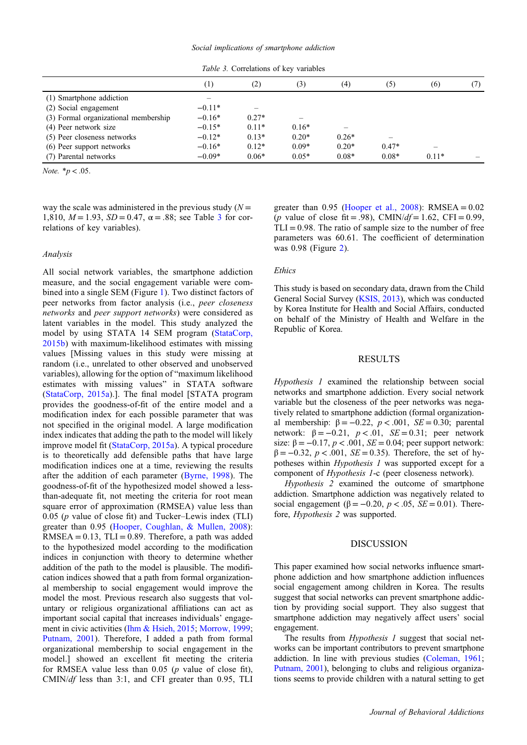Table 3. Correlations of key variables

|                                      | (1)      | (2)     | (3)     | (4)     | (5)     | (6)     | (7) |  |
|--------------------------------------|----------|---------|---------|---------|---------|---------|-----|--|
| (1) Smartphone addiction             |          |         |         |         |         |         |     |  |
| (2) Social engagement                | $-0.11*$ |         |         |         |         |         |     |  |
| (3) Formal organizational membership | $-0.16*$ | $0.27*$ |         |         |         |         |     |  |
| (4) Peer network size                | $-0.15*$ | $0.11*$ | $0.16*$ |         |         |         |     |  |
| (5) Peer closeness networks          | $-0.12*$ | $0.13*$ | $0.20*$ | $0.26*$ |         |         |     |  |
| (6) Peer support networks            | $-0.16*$ | $0.12*$ | $0.09*$ | $0.20*$ | $0.47*$ |         |     |  |
| (7) Parental networks                | $-0.09*$ | $0.06*$ | $0.05*$ | $0.08*$ | $0.08*$ | $0.11*$ |     |  |

Note.  $*_{p} < .05$ .

way the scale was administered in the previous study  $(N =$ 1,810,  $M = 1.93$ ,  $SD = 0.47$ ,  $\alpha = .88$ ; see Table 3 for correlations of key variables).

## Analysis

All social network variables, the smartphone addiction measure, and the social engagement variable were combined into a single SEM (Figure [1\)](#page-2-0). Two distinct factors of peer networks from factor analysis (i.e., peer closeness networks and peer support networks) were considered as latent variables in the model. This study analyzed the model by using STATA 14 SEM program ([StataCorp,](#page-8-0) [2015b\)](#page-8-0) with maximum-likelihood estimates with missing values [Missing values in this study were missing at random (i.e., unrelated to other observed and unobserved variables), allowing for the option of "maximum likelihood estimates with missing values" in STATA software ([StataCorp, 2015a\)](#page-7-0).]. The final model [STATA program provides the goodness-of-fit of the entire model and a modification index for each possible parameter that was not specified in the original model. A large modification index indicates that adding the path to the model will likely improve model fit [\(StataCorp, 2015a\)](#page-7-0). A typical procedure is to theoretically add defensible paths that have large modification indices one at a time, reviewing the results after the addition of each parameter ([Byrne, 1998\)](#page-6-0). The goodness-of-fit of the hypothesized model showed a lessthan-adequate fit, not meeting the criteria for root mean square error of approximation (RMSEA) value less than  $0.05$  ( $p$  value of close fit) and Tucker–Lewis index (TLI) greater than 0.95 ([Hooper, Coughlan, & Mullen, 2008\)](#page-7-0): RMSEA =  $0.13$ , TLI = 0.89. Therefore, a path was added to the hypothesized model according to the modification indices in conjunction with theory to determine whether addition of the path to the model is plausible. The modification indices showed that a path from formal organizational membership to social engagement would improve the model the most. Previous research also suggests that voluntary or religious organizational affiliations can act as important social capital that increases individuals' engagement in civic activities ([Ihm & Hsieh, 2015](#page-7-0); [Morrow, 1999;](#page-7-0) [Putnam, 2001](#page-7-0)). Therefore, I added a path from formal organizational membership to social engagement in the model.] showed an excellent fit meeting the criteria for RMSEA value less than  $0.05$  ( $p$  value of close fit), CMIN/df less than 3:1, and CFI greater than 0.95, TLI

greater than  $0.95$  [\(Hooper et al., 2008](#page-7-0)): RMSEA =  $0.02$ (*p* value of close fit = .98), CMIN/ $df = 1.62$ , CFI = 0.99,  $TLI = 0.98$ . The ratio of sample size to the number of free parameters was 60.61. The coefficient of determination was 0.98 (Figure [2\)](#page-5-0).

## Ethics

This study is based on secondary data, drawn from the Child General Social Survey [\(KSIS, 2013](#page-7-0)), which was conducted by Korea Institute for Health and Social Affairs, conducted on behalf of the Ministry of Health and Welfare in the Republic of Korea.

## RESULTS

Hypothesis 1 examined the relationship between social networks and smartphone addiction. Every social network variable but the closeness of the peer networks was negatively related to smartphone addiction (formal organizational membership:  $β = -0.22$ ,  $p < .001$ ,  $SE = 0.30$ ; parental network:  $\beta = -0.21$ ,  $p < 0.01$ ,  $SE = 0.31$ ; peer network size:  $\beta = -0.17$ ,  $p < .001$ ,  $SE = 0.04$ ; peer support network:  $\beta = -0.32$ ,  $p < .001$ ,  $SE = 0.35$ ). Therefore, the set of hypotheses within Hypothesis 1 was supported except for a component of Hypothesis 1-c (peer closeness network).

Hypothesis 2 examined the outcome of smartphone addiction. Smartphone addiction was negatively related to social engagement ( $\beta = -0.20$ ,  $p < .05$ ,  $SE = 0.01$ ). Therefore, Hypothesis 2 was supported.

## DISCUSSION

This paper examined how social networks influence smartphone addiction and how smartphone addiction influences social engagement among children in Korea. The results suggest that social networks can prevent smartphone addiction by providing social support. They also suggest that smartphone addiction may negatively affect users' social engagement.

The results from *Hypothesis 1* suggest that social networks can be important contributors to prevent smartphone addiction. In line with previous studies [\(Coleman, 1961](#page-6-0); [Putnam, 2001\)](#page-7-0), belonging to clubs and religious organizations seems to provide children with a natural setting to get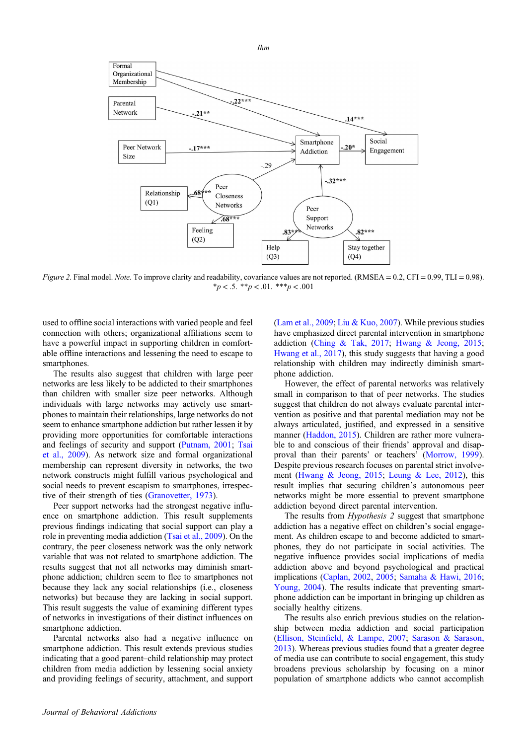<span id="page-5-0"></span>

Figure 2. Final model. Note. To improve clarity and readability, covariance values are not reported. (RMSEA = 0.2, CFI = 0.99, TLI = 0.98).  $**p* < .5.$   $**p* < .01.$   $**p* < .001$ 

used to offline social interactions with varied people and feel connection with others; organizational affiliations seem to have a powerful impact in supporting children in comfortable offline interactions and lessening the need to escape to smartphones.

The results also suggest that children with large peer networks are less likely to be addicted to their smartphones than children with smaller size peer networks. Although individuals with large networks may actively use smartphones to maintain their relationships, large networks do not seem to enhance smartphone addiction but rather lessen it by providing more opportunities for comfortable interactions and feelings of security and support ([Putnam, 2001;](#page-7-0) [Tsai](#page-8-0) [et al., 2009](#page-8-0)). As network size and formal organizational membership can represent diversity in networks, the two network constructs might fulfill various psychological and social needs to prevent escapism to smartphones, irrespective of their strength of ties [\(Granovetter, 1973\)](#page-7-0).

Peer support networks had the strongest negative influence on smartphone addiction. This result supplements previous findings indicating that social support can play a role in preventing media addiction ([Tsai et al., 2009](#page-8-0)). On the contrary, the peer closeness network was the only network variable that was not related to smartphone addiction. The results suggest that not all networks may diminish smartphone addiction; children seem to flee to smartphones not because they lack any social relationships (i.e., closeness networks) but because they are lacking in social support. This result suggests the value of examining different types of networks in investigations of their distinct influences on smartphone addiction.

Parental networks also had a negative influence on smartphone addiction. This result extends previous studies indicating that a good parent–child relationship may protect children from media addiction by lessening social anxiety and providing feelings of security, attachment, and support ([Lam et al., 2009;](#page-7-0) [Liu & Kuo, 2007](#page-7-0)). While previous studies have emphasized direct parental intervention in smartphone addiction ([Ching & Tak, 2017;](#page-6-0) [Hwang & Jeong, 2015](#page-7-0); [Hwang et al., 2017\)](#page-7-0), this study suggests that having a good relationship with children may indirectly diminish smartphone addiction.

However, the effect of parental networks was relatively small in comparison to that of peer networks. The studies suggest that children do not always evaluate parental intervention as positive and that parental mediation may not be always articulated, justified, and expressed in a sensitive manner ([Haddon, 2015\)](#page-7-0). Children are rather more vulnerable to and conscious of their friends' approval and disapproval than their parents' or teachers' ([Morrow, 1999](#page-7-0)). Despite previous research focuses on parental strict involvement ([Hwang & Jeong, 2015](#page-7-0); [Leung & Lee, 2012\)](#page-7-0), this result implies that securing children's autonomous peer networks might be more essential to prevent smartphone addiction beyond direct parental intervention.

The results from *Hypothesis 2* suggest that smartphone addiction has a negative effect on children's social engagement. As children escape to and become addicted to smartphones, they do not participate in social activities. The negative influence provides social implications of media addiction above and beyond psychological and practical implications [\(Caplan, 2002](#page-6-0), [2005](#page-6-0); [Samaha & Hawi, 2016](#page-7-0); [Young, 2004](#page-8-0)). The results indicate that preventing smartphone addiction can be important in bringing up children as socially healthy citizens.

The results also enrich previous studies on the relationship between media addiction and social participation (Ellison, Steinfi[eld, & Lampe, 2007;](#page-7-0) [Sarason & Sarason,](#page-7-0) [2013\)](#page-7-0). Whereas previous studies found that a greater degree of media use can contribute to social engagement, this study broadens previous scholarship by focusing on a minor population of smartphone addicts who cannot accomplish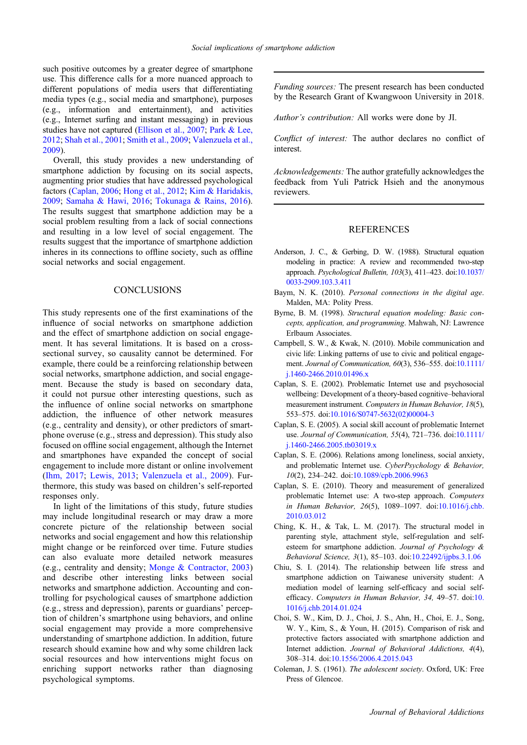<span id="page-6-0"></span>such positive outcomes by a greater degree of smartphone use. This difference calls for a more nuanced approach to different populations of media users that differentiating media types (e.g., social media and smartphone), purposes (e.g., information and entertainment), and activities (e.g., Internet surfing and instant messaging) in previous studies have not captured ([Ellison et al., 2007](#page-7-0); [Park & Lee,](#page-7-0) [2012](#page-7-0); [Shah et al., 2001;](#page-7-0) [Smith et al., 2009;](#page-7-0) [Valenzuela et al.,](#page-8-0) [2009](#page-8-0)).

Overall, this study provides a new understanding of smartphone addiction by focusing on its social aspects, augmenting prior studies that have addressed psychological factors (Caplan, 2006; [Hong et al., 2012;](#page-7-0) [Kim & Haridakis,](#page-7-0) [2009](#page-7-0); [Samaha & Hawi, 2016](#page-7-0); [Tokunaga & Rains, 2016\)](#page-8-0). The results suggest that smartphone addiction may be a social problem resulting from a lack of social connections and resulting in a low level of social engagement. The results suggest that the importance of smartphone addiction inheres in its connections to offline society, such as offline social networks and social engagement.

## **CONCLUSIONS**

This study represents one of the first examinations of the influence of social networks on smartphone addiction and the effect of smartphone addiction on social engagement. It has several limitations. It is based on a crosssectional survey, so causality cannot be determined. For example, there could be a reinforcing relationship between social networks, smartphone addiction, and social engagement. Because the study is based on secondary data, it could not pursue other interesting questions, such as the influence of online social networks on smartphone addiction, the influence of other network measures (e.g., centrality and density), or other predictors of smartphone overuse (e.g., stress and depression). This study also focused on offline social engagement, although the Internet and smartphones have expanded the concept of social engagement to include more distant or online involvement ([Ihm, 2017;](#page-7-0) [Lewis, 2013;](#page-7-0) [Valenzuela et al., 2009](#page-8-0)). Furthermore, this study was based on children's self-reported responses only.

In light of the limitations of this study, future studies may include longitudinal research or may draw a more concrete picture of the relationship between social networks and social engagement and how this relationship might change or be reinforced over time. Future studies can also evaluate more detailed network measures (e.g., centrality and density; [Monge & Contractor, 2003](#page-7-0)) and describe other interesting links between social networks and smartphone addiction. Accounting and controlling for psychological causes of smartphone addiction (e.g., stress and depression), parents or guardians' perception of children's smartphone using behaviors, and online social engagement may provide a more comprehensive understanding of smartphone addiction. In addition, future research should examine how and why some children lack social resources and how interventions might focus on enriching support networks rather than diagnosing psychological symptoms.

Funding sources: The present research has been conducted by the Research Grant of Kwangwoon University in 2018.

Author's contribution: All works were done by JI.

Conflict of interest: The author declares no conflict of interest.

Acknowledgements: The author gratefully acknowledges the feedback from Yuli Patrick Hsieh and the anonymous reviewers.

## REFERENCES

- Anderson, J. C., & Gerbing, D. W. (1988). Structural equation modeling in practice: A review and recommended two-step approach. Psychological Bulletin, 103(3), 411–423. doi:[10.1037/](http://dx.doi.org/10.1037/0033-2909.103.3.411) [0033-2909.103.3.411](http://dx.doi.org/10.1037/0033-2909.103.3.411)
- Baym, N. K. (2010). Personal connections in the digital age. Malden, MA: Polity Press.
- Byrne, B. M. (1998). Structural equation modeling: Basic concepts, application, and programming. Mahwah, NJ: Lawrence Erlbaum Associates.
- Campbell, S. W., & Kwak, N. (2010). Mobile communication and civic life: Linking patterns of use to civic and political engagement. Journal of Communication, 60(3), 536–555. doi[:10.1111/](http://dx.doi.org/10.1111/j.1460-2466.2010.01496.x) [j.1460-2466.2010.01496.x](http://dx.doi.org/10.1111/j.1460-2466.2010.01496.x)
- Caplan, S. E. (2002). Problematic Internet use and psychosocial wellbeing: Development of a theory-based cognitive–behavioral measurement instrument. Computers in Human Behavior, 18(5), 553–575. doi[:10.1016/S0747-5632\(02\)00004-3](http://dx.doi.org/10.1016/S0747-5632(02)00004-3)
- Caplan, S. E. (2005). A social skill account of problematic Internet use. Journal of Communication, 55(4), 721–736. doi[:10.1111/](http://dx.doi.org/10.1111/j.1460-2466.2005.tb03019.x) [j.1460-2466.2005.tb03019.x](http://dx.doi.org/10.1111/j.1460-2466.2005.tb03019.x)
- Caplan, S. E. (2006). Relations among loneliness, social anxiety, and problematic Internet use. CyberPsychology & Behavior, 10(2), 234–242. doi:[10.1089/cpb.2006.9963](http://dx.doi.org/10.1089/cpb.2006.9963)
- Caplan, S. E. (2010). Theory and measurement of generalized problematic Internet use: A two-step approach. Computers in Human Behavior, 26(5), 1089–1097. doi:[10.1016/j.chb.](http://dx.doi.org/10.1016/j.chb.2010.03.012) [2010.03.012](http://dx.doi.org/10.1016/j.chb.2010.03.012)
- Ching, K. H., & Tak, L. M. (2017). The structural model in parenting style, attachment style, self-regulation and selfesteem for smartphone addiction. Journal of Psychology & Behavioral Science, 3(1), 85–103. doi[:10.22492/ijpbs.3.1.06](http://dx.doi.org/10.22492/ijpbs.3.1.06)
- Chiu, S. I. (2014). The relationship between life stress and smartphone addiction on Taiwanese university student: A mediation model of learning self-efficacy and social selfefficacy. Computers in Human Behavior, 34, 49–57. doi:[10.](http://dx.doi.org/10.1016/j.chb.2014.01.024) [1016/j.chb.2014.01.024](http://dx.doi.org/10.1016/j.chb.2014.01.024)
- Choi, S. W., Kim, D. J., Choi, J. S., Ahn, H., Choi, E. J., Song, W. Y., Kim, S., & Youn, H. (2015). Comparison of risk and protective factors associated with smartphone addiction and Internet addiction. Journal of Behavioral Addictions, 4(4), 308–314. doi[:10.1556/2006.4.2015.043](http://dx.doi.org/10.1556/2006.4.2015.043)
- Coleman, J. S. (1961). The adolescent society. Oxford, UK: Free Press of Glencoe.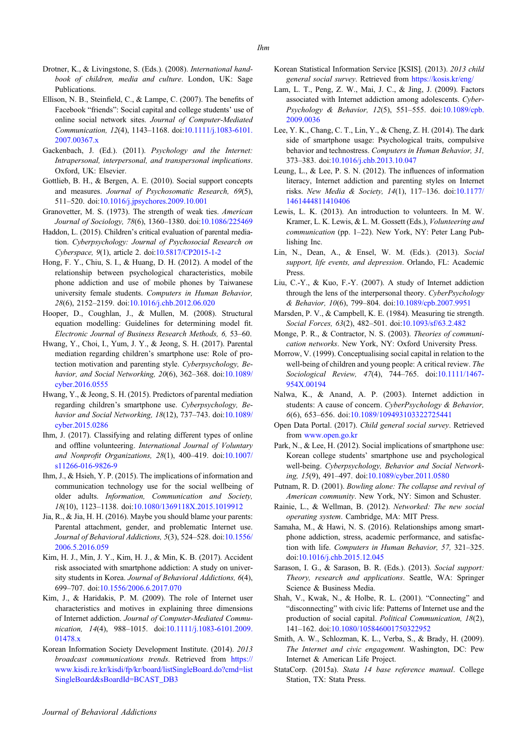- <span id="page-7-0"></span>Drotner, K., & Livingstone, S. (Eds.). (2008). International handbook of children, media and culture. London, UK: Sage Publications.
- Ellison, N. B., Steinfield, C., & Lampe, C. (2007). The benefits of Facebook "friends": Social capital and college students' use of online social network sites. Journal of Computer-Mediated Communication, 12(4), 1143–1168. doi[:10.1111/j.1083-6101.](http://dx.doi.org/10.1111/j.1083-6101.2007.00367.x) [2007.00367.x](http://dx.doi.org/10.1111/j.1083-6101.2007.00367.x)
- Gackenbach, J. (Ed.). (2011). Psychology and the Internet: Intrapersonal, interpersonal, and transpersonal implications. Oxford, UK: Elsevier.
- Gottlieb, B. H., & Bergen, A. E. (2010). Social support concepts and measures. Journal of Psychosomatic Research, 69(5), 511–520. doi:[10.1016/j.jpsychores.2009.10.001](http://dx.doi.org/10.1016/j.jpsychores.2009.10.001)
- Granovetter, M. S. (1973). The strength of weak ties. American Journal of Sociology, 78(6), 1360–1380. doi[:10.1086/225469](http://dx.doi.org/10.1086/225469)
- Haddon, L. (2015). Children's critical evaluation of parental mediation. Cyberpsychology: Journal of Psychosocial Research on Cyberspace, 9(1), article 2. doi[:10.5817/CP2015-1-2](http://dx.doi.org/10.5817/CP2015-1-2)
- Hong, F. Y., Chiu, S. I., & Huang, D. H. (2012). A model of the relationship between psychological characteristics, mobile phone addiction and use of mobile phones by Taiwanese university female students. Computers in Human Behavior, 28(6), 2152–2159. doi[:10.1016/j.chb.2012.06.020](http://dx.doi.org/10.1016/j.chb.2012.06.020)
- Hooper, D., Coughlan, J., & Mullen, M. (2008). Structural equation modelling: Guidelines for determining model fit. Electronic Journal of Business Research Methods, 6, 53–60.
- Hwang, Y., Choi, I., Yum, J. Y., & Jeong, S. H. (2017). Parental mediation regarding children's smartphone use: Role of protection motivation and parenting style. Cyberpsychology, Behavior, and Social Networking, 20(6), 362–368. doi:[10.1089/](http://dx.doi.org/10.1089/cyber.2016.0555) [cyber.2016.0555](http://dx.doi.org/10.1089/cyber.2016.0555)
- Hwang, Y., & Jeong, S. H. (2015). Predictors of parental mediation regarding children's smartphone use. Cyberpsychology, Behavior and Social Networking, 18(12), 737–743. doi:[10.1089/](http://dx.doi.org/10.1089/cyber.2015.0286) [cyber.2015.0286](http://dx.doi.org/10.1089/cyber.2015.0286)
- Ihm, J. (2017). Classifying and relating different types of online and offline volunteering. International Journal of Voluntary and Nonprofit Organizations, 28(1), 400–419. doi:[10.1007/](http://dx.doi.org/10.1007/s11266-016-9826-9) [s11266-016-9826-9](http://dx.doi.org/10.1007/s11266-016-9826-9)
- Ihm, J., & Hsieh, Y. P. (2015). The implications of information and communication technology use for the social wellbeing of older adults. Information, Communication and Society, 18(10), 1123–1138. doi[:10.1080/1369118X.2015.1019912](http://dx.doi.org/10.1080/1369118X.2015.1019912)
- Jia, R., & Jia, H. H. (2016). Maybe you should blame your parents: Parental attachment, gender, and problematic Internet use. Journal of Behavioral Addictions, 5(3), 524–528. doi:[10.1556/](http://dx.doi.org/10.1556/2006.5.2016.059) [2006.5.2016.059](http://dx.doi.org/10.1556/2006.5.2016.059)
- Kim, H. J., Min, J. Y., Kim, H. J., & Min, K. B. (2017). Accident risk associated with smartphone addiction: A study on university students in Korea. Journal of Behavioral Addictions, 6(4), 699–707. doi:[10.1556/2006.6.2017.070](http://dx.doi.org/10.1556/2006.6.2017.070)
- Kim, J., & Haridakis, P. M. (2009). The role of Internet user characteristics and motives in explaining three dimensions of Internet addiction. Journal of Computer-Mediated Commu-nication, 14(4), 988-1015. doi:[10.1111/j.1083-6101.2009.](http://dx.doi.org/10.1111/j.1083-6101.2009.01478.x) [01478.x](http://dx.doi.org/10.1111/j.1083-6101.2009.01478.x)
- Korean Information Society Development Institute. (2014). 2013 broadcast communications trends. Retrieved from [https://](https://www.kisdi.re.kr/kisdi/fp/kr/board/listSingleBoard.do?cmd=listSingleBoard&sBoardId=BCAST_DB3) [www.kisdi.re.kr/kisdi/fp/kr/board/listSingleBoard.do?cmd=list](https://www.kisdi.re.kr/kisdi/fp/kr/board/listSingleBoard.do?cmd=listSingleBoard&sBoardId=BCAST_DB3) [SingleBoard&sBoardId=BCAST\\_DB3](https://www.kisdi.re.kr/kisdi/fp/kr/board/listSingleBoard.do?cmd=listSingleBoard&sBoardId=BCAST_DB3)
- Korean Statistical Information Service [KSIS]. (2013). 2013 child general social survey. Retrieved from <https://kosis.kr/eng/>
- Lam, L. T., Peng, Z. W., Mai, J. C., & Jing, J. (2009). Factors associated with Internet addiction among adolescents. Cyber-Psychology & Behavior, 12(5), 551–555. doi[:10.1089/cpb.](http://dx.doi.org/10.1089/cpb.2009.0036) [2009.0036](http://dx.doi.org/10.1089/cpb.2009.0036)
- Lee, Y. K., Chang, C. T., Lin, Y., & Cheng, Z. H. (2014). The dark side of smartphone usage: Psychological traits, compulsive behavior and technostress. Computers in Human Behavior, 31, 373–383. doi[:10.1016/j.chb.2013.10.047](http://dx.doi.org/10.1016/j.chb.2013.10.047)
- Leung, L., & Lee, P. S. N. (2012). The influences of information literacy, Internet addiction and parenting styles on Internet risks. New Media & Society, 14(1), 117–136. doi[:10.1177/](http://dx.doi.org/10.1177/1461444811410406) [1461444811410406](http://dx.doi.org/10.1177/1461444811410406)
- Lewis, L. K. (2013). An introduction to volunteers. In M. W. Kramer, L. K. Lewis, & L. M. Gossett (Eds.), Volunteering and communication (pp. 1–22). New York, NY: Peter Lang Publishing Inc.
- Lin, N., Dean, A., & Ensel, W. M. (Eds.). (2013). Social support, life events, and depression. Orlando, FL: Academic Press.
- Liu, C.-Y., & Kuo, F.-Y. (2007). A study of Internet addiction through the lens of the interpersonal theory. CyberPsychology & Behavior, 10(6), 799–804. doi[:10.1089/cpb.2007.9951](http://dx.doi.org/10.1089/cpb.2007.9951)
- Marsden, P. V., & Campbell, K. E. (1984). Measuring tie strength. Social Forces, 63(2), 482–501. doi:[10.1093/sf/63.2.482](http://dx.doi.org/10.1093/sf/63.2.482)
- Monge, P. R., & Contractor, N. S. (2003). Theories of communication networks. New York, NY: Oxford University Press.
- Morrow, V. (1999). Conceptualising social capital in relation to the well-being of children and young people: A critical review. The Sociological Review, 47(4), 744–765. doi:[10.1111/1467-](http://dx.doi.org/10.1111/1467-954X.00194) [954X.00194](http://dx.doi.org/10.1111/1467-954X.00194)
- Nalwa, K., & Anand, A. P. (2003). Internet addiction in students: A cause of concern. CyberPsychology & Behavior, 6(6), 653–656. doi:[10.1089/109493103322725441](http://dx.doi.org/10.1089/109493103322725441)
- Open Data Portal. (2017). Child general social survey. Retrieved from <www.open.go.kr>
- Park, N., & Lee, H. (2012). Social implications of smartphone use: Korean college students' smartphone use and psychological well-being. Cyberpsychology, Behavior and Social Networking, 15(9), 491–497. doi:[10.1089/cyber.2011.0580](http://dx.doi.org/10.1089/cyber.2011.0580)
- Putnam, R. D. (2001). Bowling alone: The collapse and revival of American community. New York, NY: Simon and Schuster.
- Rainie, L., & Wellman, B. (2012). Networked: The new social operating system. Cambridge, MA: MIT Press.
- Samaha, M., & Hawi, N. S. (2016). Relationships among smartphone addiction, stress, academic performance, and satisfaction with life. Computers in Human Behavior, 57, 321–325. doi[:10.1016/j.chb.2015.12.045](http://dx.doi.org/10.1016/j.chb.2015.12.045)
- Sarason, I. G., & Sarason, B. R. (Eds.). (2013). Social support: Theory, research and applications. Seattle, WA: Springer Science & Business Media.
- Shah, V., Kwak, N., & Holbe, R. L. (2001). "Connecting" and "disconnecting" with civic life: Patterns of Internet use and the production of social capital. Political Communication, 18(2), 141–162. doi[:10.1080/105846001750322952](http://dx.doi.org/10.1080/105846001750322952)
- Smith, A. W., Schlozman, K. L., Verba, S., & Brady, H. (2009). The Internet and civic engagement. Washington, DC: Pew Internet & American Life Project.
- StataCorp. (2015a). Stata 14 base reference manual. College Station, TX: Stata Press.